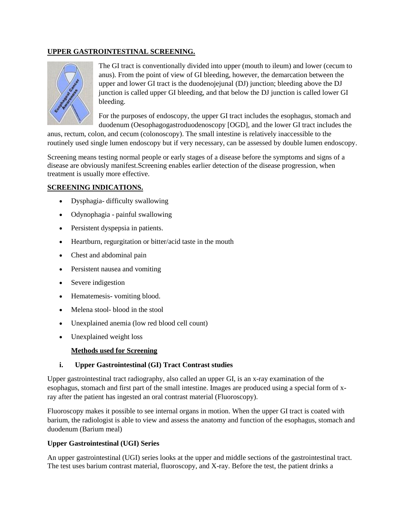# **UPPER GASTROINTESTINAL SCREENING.**



The GI tract is conventionally divided into upper (mouth to ileum) and lower (cecum to anus). From the point of view of GI bleeding, however, the demarcation between the upper and lower GI tract is the duodenojejunal (DJ) junction; bleeding above the DJ junction is called upper GI bleeding, and that below the DJ junction is called lower GI bleeding.

For the purposes of endoscopy, the upper GI tract includes the esophagus, stomach and duodenum (Oesophagogastroduodenoscopy [OGD], and the lower GI tract includes the

anus, rectum, colon, and cecum (colonoscopy). The small intestine is relatively inaccessible to the routinely used single lumen endoscopy but if very necessary, can be assessed by double lumen endoscopy.

Screening means testing normal people or early stages of a disease before the symptoms and signs of a disease are obviously manifest.Screening enables earlier detection of the disease progression, when treatment is usually more effective.

## **SCREENING INDICATIONS.**

- Dysphagia- difficulty swallowing
- Odynophagia painful swallowing
- Persistent dyspepsia in patients.
- Heartburn, regurgitation or bitter/acid taste in the mouth
- Chest and abdominal pain
- Persistent nausea and vomiting
- Severe indigestion
- Hematemesis- vomiting blood.
- Melena stool- blood in the stool
- Unexplained anemia (low red blood cell count)
- Unexplained weight loss

### **Methods used for Screening**

### **i. Upper Gastrointestinal (GI) Tract Contrast studies**

Upper gastrointestinal tract radiography, also called an upper GI, is an x-ray examination of the esophagus, stomach and first part of the small intestine. Images are produced using a special form of xray after the patient has ingested an oral contrast material (Fluoroscopy).

Fluoroscopy makes it possible to see internal organs in motion. When the upper GI tract is coated with barium, the radiologist is able to view and assess the anatomy and function of the esophagus, stomach and duodenum (Barium meal)

### **Upper Gastrointestinal (UGI) Series**

An upper gastrointestinal (UGI) series looks at the upper and middle sections of the gastrointestinal tract. The test uses barium contrast material, fluoroscopy, and X-ray. Before the test, the patient drinks a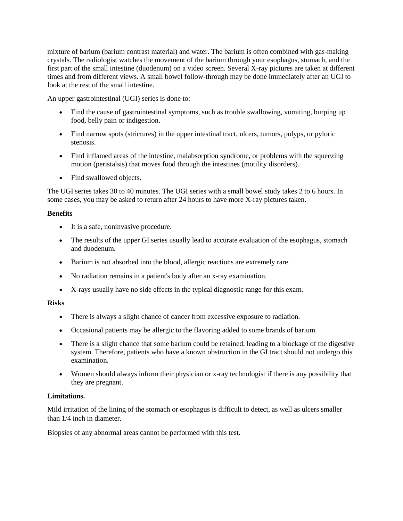mixture of barium (barium contrast material) and water. The barium is often combined with gas-making crystals. The radiologist watches the movement of the barium through your esophagus, stomach, and the first part of the small intestine (duodenum) on a video screen. Several X-ray pictures are taken at different times and from different views. A small bowel follow-through may be done immediately after an UGI to look at the rest of the small intestine.

An upper gastrointestinal (UGI) series is done to:

- Find the cause of gastrointestinal symptoms, such as trouble swallowing, vomiting, burping up food, belly pain or indigestion.
- Find narrow spots (strictures) in the upper intestinal tract, ulcers, tumors, polyps, or pyloric stenosis.
- Find inflamed areas of the intestine, malabsorption syndrome, or problems with the squeezing motion (peristalsis) that moves food through the intestines (motility disorders).
- Find swallowed objects.

The UGI series takes 30 to 40 minutes. The UGI series with a small bowel study takes 2 to 6 hours. In some cases, you may be asked to return after 24 hours to have more X-ray pictures taken.

## **Benefits**

- It is a safe, noninvasive procedure.
- The results of the upper GI series usually lead to accurate evaluation of the esophagus, stomach and duodenum.
- Barium is not absorbed into the blood, allergic reactions are extremely rare.
- No radiation remains in a patient's body after an x-ray examination.
- X-rays usually have no side effects in the typical diagnostic range for this exam.

### **Risks**

- There is always a slight chance of cancer from excessive exposure to radiation.
- Occasional patients may be allergic to the flavoring added to some brands of barium.
- There is a slight chance that some barium could be retained, leading to a blockage of the digestive system. Therefore, patients who have a known obstruction in the GI tract should not undergo this examination.
- Women should always inform their physician or x-ray technologist if there is any possibility that they are pregnant.

# **Limitations.**

Mild irritation of the lining of the stomach or esophagus is difficult to detect, as well as ulcers smaller than 1/4 inch in diameter.

Biopsies of any abnormal areas cannot be performed with this test.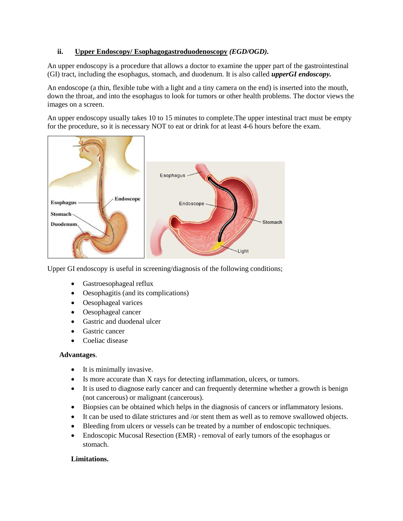# **ii. Upper Endoscopy/ Esophagogastroduodenoscopy** *(EGD/OGD).*

An upper endoscopy is a procedure that allows a doctor to examine the upper part of the gastrointestinal (GI) tract, including the esophagus, stomach, and duodenum. It is also called *upperGI endoscopy.*

An endoscope (a thin, flexible tube with a light and a tiny camera on the end) is inserted into the mouth, down the throat, and into the esophagus to look for tumors or other health problems. The doctor views the images on a screen.

An upper endoscopy usually takes 10 to 15 minutes to complete.The upper intestinal tract must be empty for the procedure, so it is necessary NOT to eat or drink for at least 4-6 hours before the exam.



Upper GI endoscopy is useful in screening/diagnosis of the following conditions;

- Gastroesophageal reflux
- Oesophagitis (and its complications)
- Oesophageal varices
- Oesophageal cancer
- Gastric and duodenal ulcer
- Gastric cancer
- Coeliac disease

# **Advantages**.

- It is minimally invasive.
- Is more accurate than X rays for detecting inflammation, ulcers, or tumors.
- It is used to diagnose early cancer and can frequently determine whether a growth is benign (not cancerous) or malignant (cancerous).
- Biopsies can be obtained which helps in the diagnosis of cancers or inflammatory lesions.
- It can be used to dilate strictures and /or stent them as well as to remove swallowed objects.
- Bleeding from ulcers or vessels can be treated by a number of endoscopic techniques.
- Endoscopic Mucosal Resection (EMR) removal of early tumors of the esophagus or stomach.

# **Limitations.**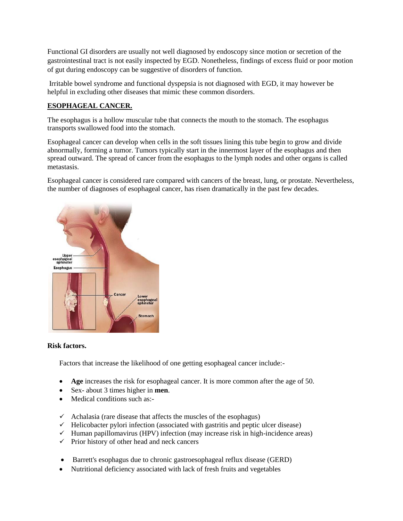Functional GI disorders are usually not well diagnosed by endoscopy since motion or secretion of the gastrointestinal tract is not easily inspected by EGD. Nonetheless, findings of excess fluid or poor motion of gut during endoscopy can be suggestive of disorders of function.

Irritable bowel syndrome and functional dyspepsia is not diagnosed with EGD, it may however be helpful in excluding other diseases that mimic these common disorders.

# **ESOPHAGEAL CANCER.**

The esophagus is a hollow muscular tube that connects the mouth to the stomach. The esophagus transports swallowed food into the stomach.

Esophageal cancer can develop when cells in the soft tissues lining this tube begin to grow and divide abnormally, forming a tumor. Tumors typically start in the innermost layer of the esophagus and then spread outward. The spread of cancer from the esophagus to the lymph nodes and other organs is called metastasis.

Esophageal cancer is considered rare compared with cancers of the breast, lung, or prostate. Nevertheless, the number of diagnoses of esophageal cancer, has risen dramatically in the past few decades.



### **Risk factors.**

Factors that increase the likelihood of one getting esophageal cancer include:-

- **Age** increases the risk for esophageal cancer. It is more common after the age of 50.
- Sex- about 3 times higher in **men**.
- Medical conditions such as:-
- $\checkmark$  Achalasia (rare disease that affects the muscles of the esophagus)
- $\checkmark$  Helicobacter pylori infection (associated with gastritis and peptic ulcer disease)
- $\checkmark$  Human papillomavirus (HPV) infection (may increase risk in high-incidence areas)
- $\checkmark$  Prior history of other head and neck cancers
- Barrett's esophagus due to chronic gastroesophageal reflux disease (GERD)
- Nutritional deficiency associated with lack of fresh fruits and vegetables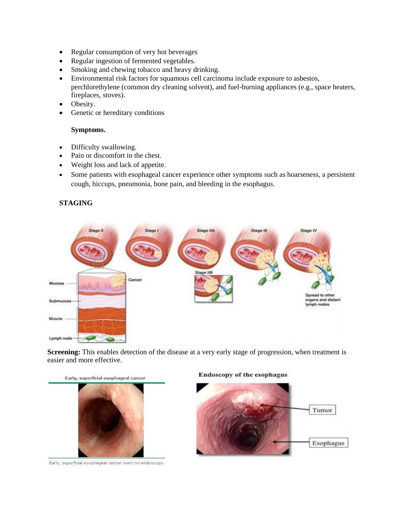- Regular consumption of very hot beverages
- Regular ingestion of fermented vegetables.
- Smoking and chewing tobacco and heavy drinking.
- Environmental risk factors for squamous cell carcinoma include exposure to asbestos, perchlorethylene (common dry cleaning solvent), and fuel-burning appliances (e.g., space heaters, fireplaces, stoves).
- Obesity.
- Genetic or hereditary conditions

### **Symptoms.**

- Difficulty swallowing.
- Pain or discomfort in the chest.
- Weight loss and lack of appetite.
- Some patients with esophageal cancer experience other symptoms such as hoarseness, a persistent cough, hiccups, pneumonia, bone pain, and bleeding in the esophagus.

# **STAGING**



**Screening:** This enables detection of the disease at a very early stage of progression, when treatment is easier and more effective.



Early, superficial esophageal cancer seen on endoscopy.

#### **Endoscopy of the esophagus**

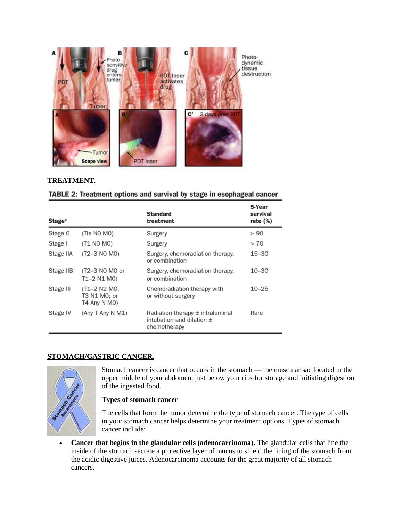

# **TREATMENT.**

|  |  |  |  | <b>TABLE 2: Treatment options and survival by stage in esophageal cancer</b> |  |
|--|--|--|--|------------------------------------------------------------------------------|--|
|  |  |  |  |                                                                              |  |

| <b>Stage</b> <sup>a</sup> |                                              | <b>Standard</b><br>treatment                                                          | 5-Year<br>survival<br>rate $(\%)$ |
|---------------------------|----------------------------------------------|---------------------------------------------------------------------------------------|-----------------------------------|
| Stage 0                   | (Tis NO MO)                                  | Surgery                                                                               | > 90                              |
| Stage I                   | (T1 NO MO)                                   | Surgery                                                                               | > 70                              |
| Stage IIA                 | (T2-3 NO MO)                                 | Surgery, chemoradiation therapy,<br>or combination                                    | $15 - 30$                         |
| Stage IIB                 | (T2-3 N0 M0 or<br>T1-2 N1 M0)                | Surgery, chemoradiation therapy,<br>or combination                                    | $10 - 30$                         |
| Stage III                 | (T1-2 N2 M0:<br>T3 N1 M0; or<br>T4 Any N MO) | Chemoradiation therapy with<br>or without surgery                                     | $10 - 25$                         |
| Stage IV                  | (Any T Any N M1)                             | Radiation therapy $\pm$ intraluminal<br>intubation and dilation $\pm$<br>chemotherapy | Rare                              |

# **STOMACH/GASTRIC CANCER.**



Stomach cancer is cancer that occurs in the stomach — the muscular sac located in the upper middle of your abdomen, just below your ribs for storage and initiating digestion of the ingested food.

# **Types of stomach cancer**

The cells that form the tumor determine the type of stomach cancer. The type of cells in your stomach cancer helps determine your treatment options. Types of stomach cancer include:

 **Cancer that begins in the glandular cells (adenocarcinoma).** The glandular cells that line the inside of the stomach secrete a protective layer of mucus to shield the lining of the stomach from the acidic digestive juices. Adenocarcinoma accounts for the great majority of all stomach cancers.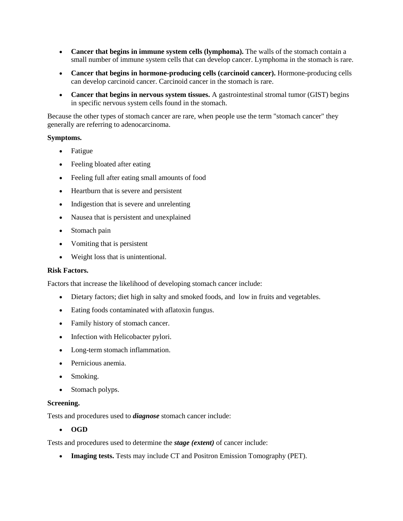- **Cancer that begins in immune system cells (lymphoma).** The walls of the stomach contain a small number of immune system cells that can develop cancer. Lymphoma in the stomach is rare.
- **Cancer that begins in hormone-producing cells (carcinoid cancer).** Hormone-producing cells can develop carcinoid cancer. Carcinoid cancer in the stomach is rare.
- **Cancer that begins in nervous system tissues.** A gastrointestinal stromal tumor (GIST) begins in specific nervous system cells found in the stomach.

Because the other types of stomach cancer are rare, when people use the term "stomach cancer" they generally are referring to adenocarcinoma.

### **Symptoms.**

- Fatigue
- Feeling bloated after eating
- Feeling full after eating small amounts of food
- Heartburn that is severe and persistent
- Indigestion that is severe and unrelenting
- Nausea that is persistent and unexplained
- Stomach pain
- Vomiting that is persistent
- Weight loss that is unintentional.

#### **Risk Factors.**

Factors that increase the likelihood of developing stomach cancer include:

- Dietary factors; diet high in salty and smoked foods, and low in fruits and vegetables.
- Eating foods contaminated with aflatoxin fungus.
- Family history of stomach cancer.
- Infection with Helicobacter pylori.
- Long-term stomach inflammation.
- Pernicious anemia.
- Smoking.
- Stomach polyps.

### **Screening.**

Tests and procedures used to *diagnose* stomach cancer include:

**OGD**

Tests and procedures used to determine the *stage (extent)* of cancer include:

**Imaging tests.** Tests may include CT and Positron Emission Tomography (PET).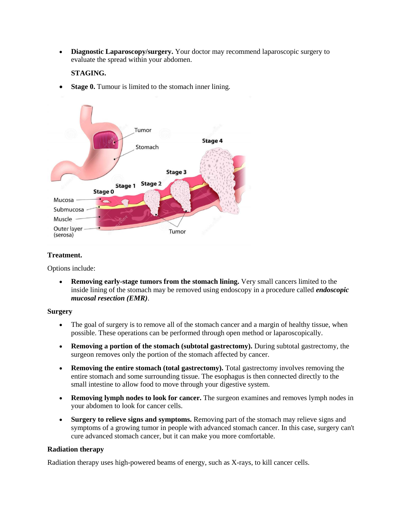**Diagnostic Laparoscopy/surgery.** Your doctor may recommend laparoscopic surgery to evaluate the spread within your abdomen.

### **STAGING.**

**Stage 0.** Tumour is limited to the stomach inner lining.



### **Treatment.**

Options include:

 **Removing early-stage tumors from the stomach lining.** Very small cancers limited to the inside lining of the stomach may be removed using endoscopy in a procedure called *endoscopic mucosal resection (EMR)*.

#### **Surgery**

- The goal of surgery is to remove all of the stomach cancer and a margin of healthy tissue, when possible. These operations can be performed through open method or laparoscopically.
- **Removing a portion of the stomach (subtotal gastrectomy).** During subtotal gastrectomy, the surgeon removes only the portion of the stomach affected by cancer.
- **Removing the entire stomach (total gastrectomy).** Total gastrectomy involves removing the entire stomach and some surrounding tissue. The esophagus is then connected directly to the small intestine to allow food to move through your digestive system.
- **Removing lymph nodes to look for cancer.** The surgeon examines and removes lymph nodes in your abdomen to look for cancer cells.
- **Surgery to relieve signs and symptoms.** Removing part of the stomach may relieve signs and symptoms of a growing tumor in people with advanced stomach cancer. In this case, surgery can't cure advanced stomach cancer, but it can make you more comfortable.

### **Radiation therapy**

Radiation therapy uses high-powered beams of energy, such as X-rays, to kill cancer cells.